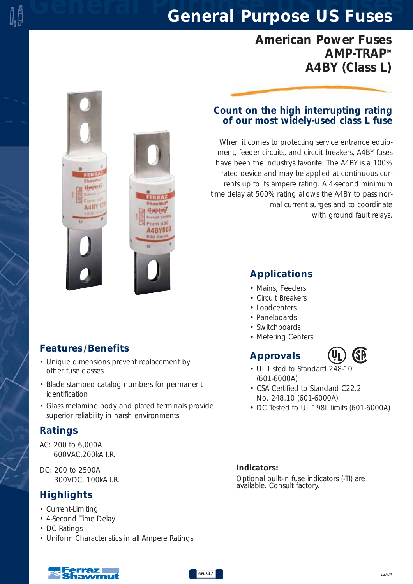## *General Purpose US Fuses General Purpose US Fuses*

## *American Power Fuses AMP-TRAP® A4BY (Class L)*

# A4B **A4BY80**

#### *Features /Benefits*

- *Unique dimensions prevent replacement by other fuse classes*
- *Blade stamped catalog numbers for permanent identification*
- *Glass melamine body and plated terminals provide superior reliability in harsh environments*

#### *Ratings*

- *AC: 200 to 6,000A 600VAC,200kA I.R.*
- *DC: 200 to 2500A 300VDC, 100kA I.R.*

#### *Highlights*

- *Current-Limiting*
- *4-Second Time Delay*
- *DC Ratings*
- *Uniform Characteristics in all Ampere Ratings*

#### *Count on the high interrupting rating of our most widely-used class L fuse*

*When it comes to protecting service entrance equipment, feeder circuits, and circuit breakers, A4BY fuses have been the industry's favorite. The A4BY is a 100% rated device and may be applied at continuous currents up to its ampere rating. A 4-second minimum time delay at 500% rating allows the A4BY to pass normal current surges and to coordinate with ground fault relays.*

#### *Applications*

- *Mains, Feeders*
- *Circuit Breakers*
- *Loadcenters*
- *Panelboards*
- *Switchboards*
- *Metering Centers*

#### *Approvals*



- *UL Listed to Standard 248-10 (601-6000A)*
- *CSA Certified to Standard C22.2 No. 248.10 (601-6000A)*
- *DC Tested to UL 198L limits (601-6000A)*

#### *Indicators:*

*Optional built-in fuse indicators (-TI) are available. Consult factory.*

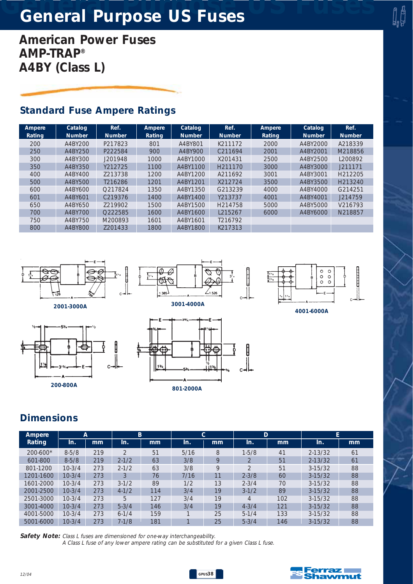# *General Purpose US Fuses General Purpose US Fuses*

*American Power Fuses AMP-TRAP® A4BY (Class L)*

#### *Standard Fuse Ampere Ratings*

| Ampere | Catalog       | Ref.                | Ampere        | Catalog       | Ref.                | Ampere | Catalog       | Ref.                |
|--------|---------------|---------------------|---------------|---------------|---------------------|--------|---------------|---------------------|
| Rating | <b>Number</b> | <b>Number</b>       | <b>Rating</b> | <b>Number</b> | <b>Number</b>       | Rating | <b>Number</b> | <b>Number</b>       |
| 200    | A4BY200       | P217823             | 801           | A4BY801       | K211172             | 2000   | A4BY2000      | A218339             |
| 250    | A4BY250       | P222584             | 900           | A4BY900       | C211694             | 2001   | A4BY2001      | M218856             |
| 300    | A4BY300       | J201948             | 1000          | A4BY1000      | X201431             | 2500   | A4BY2500      | 1200892             |
| 350    | A4BY350       | Y212725             | 1100          | A4BY1100      | H <sub>211170</sub> | 3000   | A4BY3000      | J211171             |
| 400    | A4BY400       | 7213738             | 1200          | A4BY1200      | A211692             | 3001   | A4BY3001      | H <sub>212205</sub> |
| 500    | A4BY500       | T216286             | 1201          | A4BY1201      | X212724             | 3500   | A4BY3500      | H <sub>213240</sub> |
| 600    | A4BY600       | O217824             | 1350          | A4BY1350      | G213239             | 4000   | A4BY4000      | G214251             |
| 601    | A4BY601       | C <sub>219376</sub> | 1400          | A4BY1400      | Y213737             | 4001   | A4BY4001      | J214759             |
| 650    | A4BY650       | 7219902             | 1500          | A4BY1500      | H214758             | 5000   | A4BY5000      | V216793             |
| 700    | A4BY700       | O222585             | 1600          | A4BY1600      | L215267             | 6000   | A4BY6000      | N218857             |
| 750    | A4BY750       | M200893             | 1601          | A4BY1601      | T216792             |        |               |                     |
| 800    | A4BY800       | 7201433             | 1800          | A4BY1800      | K217313             |        |               |                     |









*4001-6000A*

### *Dimensions*

| Ampere        | А         |     | B             |     | С    |    | D             |     | E           |    |
|---------------|-----------|-----|---------------|-----|------|----|---------------|-----|-------------|----|
| <b>Rating</b> | In.       | mm  | In.           | mm  | In.  | mm | In.           | mm  | In.         | mm |
| 200-600*      | $8 - 5/8$ | 219 | $\mathcal{P}$ | 51  | 5/16 | 8  | $1 - 5/8$     | 41  | $2 - 13/32$ | 61 |
| 601-800       | $8 - 5/8$ | 219 | $2 - 1/2$     | 63  | 3/8  | 9  |               | 51  | $2 - 13/32$ | 61 |
| 801-1200      | $10-3/4$  | 273 | $2 - 1/2$     | 63  | 3/8  | 9  | $\mathcal{D}$ | 51  | $3-15/32$   | 88 |
| 1201-1600     | $10-3/4$  | 273 | 3             | 76  | 7/16 | 11 | $2 - 3/8$     | 60  | $3-15/32$   | 88 |
| 1601-2000     | $10-3/4$  | 273 | $3-1/2$       | 89  | 1/2  | 13 | $2 - 3/4$     | 70  | $3-15/32$   | 88 |
| 2001-2500     | $10-3/4$  | 273 | $4 - 1/2$     | 114 | 3/4  | 19 | $3-1/2$       | 89  | $3-15/32$   | 88 |
| 2501-3000     | $10-3/4$  | 273 | 5             | 127 | 3/4  | 19 | 4             | 102 | $3-15/32$   | 88 |
| 3001-4000     | $10-3/4$  | 273 | $5 - 3/4$     | 146 | 3/4  | 19 | $4 - 3/4$     | 121 | $3-15/32$   | 88 |
| 4001-5000     | $10-3/4$  | 273 | $6 - 1/4$     | 159 |      | 25 | $5-1/4$       | 133 | $3-15/32$   | 88 |
| 5001-6000     | $10-3/4$  | 273 | $7 - 1/8$     | 181 |      | 25 | $5 - 3/4$     | 146 | $3-15/32$   | 88 |

*Safety Note: Class L fuses are dimensioned for one-way interchangeability. A Class L fuse of any lower ampere rating can be substituted for a given Class L fuse.*